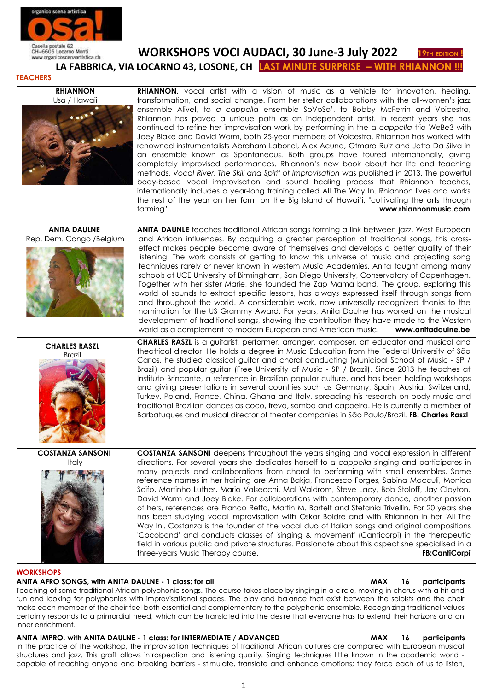

Casella postale 62<br>CH-6605 Locarno Monti **WORKSHOPS VOCI AUDACI, 30 June-3 July 2022** 19TH EDITION

 **LA FABBRICA, VIA LOCARNO 43, LOSONE, CH LAST MINUTE SURPRISE – WITH RHI** 

## **TEACHERS**

**RHIANNON** Usa / Hawaii



**RHIANNON,** vocal artist with a vision of music as a vehicle for innovation, healing, transformation, and social change. From her stellar collaborations with the all-women's jazz ensemble Alive!, to *a cappella* ensemble SoVoSo', to Bobby McFerrin and Voicestra, Rhiannon has paved a unique path as an independent artist. In recent years she has continued to refine her improvisation work by performing in the *a cappella* trio WeBe3 with Joey Blake and David Worm, both 25-year members of Voicestra. Rhiannon has worked with renowned instrumentalists Abraham Laboriel, Alex Acuna, Otmaro Ruiz and Jetro Da Silva in an ensemble known as Spontaneous. Both groups have toured internationally, giving completely improvised performances. Rhiannon's new book about her life and teaching methods, *Vocal River, The Skill and Spirit of Improvisation* was published in 2013. The powerful body-based vocal improvisation and sound healing process that Rhiannon teaches, internationally includes a year-long training called All The Way In. Rhiannon lives and works the rest of the year on her farm on the Big Island of Hawai'i, "cultivating the arts through farming". **[www.rhiannonmusic.com](http://www.rhiannonmusic.com/)**

## **ANITA DAULNE**  Rep. Dem. Congo /Belgium



**ANITA DAUNLE** teaches traditional African songs forming a link between jazz, West European and African influences. By acquiring a greater perception of traditional songs, this crosseffect makes people become aware of themselves and develops a better quality of their listening. The work consists of getting to know this universe of music and projecting song techniques rarely or never known in western Music Academies. Anita taught among many schools at UCE University of Birmingham, San Diego University, Conservatory of Copenhagen. Together with her sister Marie, she founded the Zap Mama band. The group, exploring this world of sounds to extract specific lessons, has always expressed itself through songs from and throughout the world. A considerable work, now universally recognized thanks to the nomination for the US Grammy Award. For years, Anita Daulne has worked on the musical development of traditional songs, showing the contribution they have made to the Western world as a complement to modern European and American music. **[www.anitadaulne.be](http://www.anitadaulne.be/)**

**CHARLES RASZL** Brazil

**CHARLES RASZL** is a guitarist, performer, arranger, composer, art educator and musical and theatrical director. He holds a degree in Music Education from the Federal University of São Carlos, he studied classical guitar and choral conducting (Municipal School of Music - SP / Brazil) and popular guitar (Free University of Music - SP / Brazil). Since 2013 he teaches at Instituto Brincante, a reference in Brazilian popular culture, and has been holding workshops and giving presentations in several countries such as Germany, Spain, Austria, Switzerland, Turkey, Poland, France, China, Ghana and Italy, spreading his research on body music and traditional Brazilian dances as coco, frevo, samba and capoeira. He is currently a member of Barbatuques and musical director of theater companies in São Paulo/Brazil. **FB: Charles Raszl**

## **COSTANZA SANSONI**  Italy



**COSTANZA SANSONI** deepens throughout the years singing and vocal expression in different directions. For several years she dedicates herself to *a cappella* singing and participates in many projects and collaborations from choral to performing with small ensembles. Some reference names in her training are Anna Bakja, Francesco Forges, Sabina Macculi, Monica Scifo, Martinho Luther, Mario Valsecchi, Mal Waldrom, Steve Lacy, Bob Stoloff, Jay Clayton, David Warm and Joey Blake. For collaborations with contemporary dance, another passion of hers, references are Franco Reffo, Martin M. Bartelt and Stefania Trivellin. For 20 years she has been studying vocal improvisation with Oskar Boldre and with Rhiannon in her 'All The Way In'. Costanza is the founder of the vocal duo of Italian songs and original compositions 'Cocoband' and conducts classes of 'singing & movement' (Canticorpi) in the therapeutic field in various public and private structures. Passionate about this aspect she specialised in a three-years Music Therapy course. **[FB:CantiCorpi](http://www.youtube.com/watch?v=HfXKWFRir1s)**

## **WORKSHOPS**

## **ANITA AFRO SONGS, with ANITA DAULNE - 1 class: for all MAX 16 participants**

Teaching of some traditional African polyphonic songs. The course takes place by singing in a circle, moving in chorus with a hit and run and looking for polyphonies with improvisational spaces. The play and balance that exist between the soloists and the choir make each member of the choir feel both essential and complementary to the polyphonic ensemble. Recognizing traditional values certainly responds to a primordial need, which can be translated into the desire that everyone has to extend their horizons and an inner enrichment.

# **ANITA IMPRO, with ANITA DAULNE - 1 class: for INTERMEDIATE / ADVANCED MAX 16 participants**

In the practice of the workshop, the improvisation techniques of traditional African cultures are compared with European musical structures and jazz. This graft allows introspection and listening quality. Singing techniques little known in the academic world capable of reaching anyone and breaking barriers - stimulate, translate and enhance emotions; they force each of us to listen,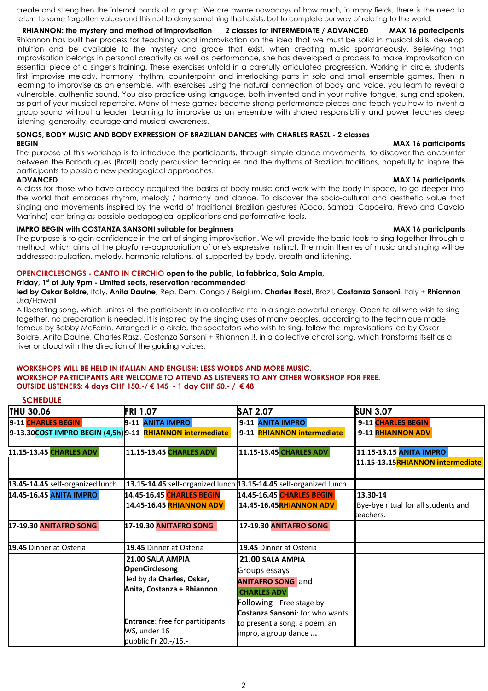create and strengthen the internal bonds of a group. We are aware nowadays of how much, in many fields, there is the need to return to some forgotten values and this not to deny something that exists, but to complete our way of relating to the world.

**RHIANNON: the mystery and method of improvisation** *2* **classes for INTERMEDIATE / ADVANCED MAX 16 partecipants** Rhiannon has built her process for teaching vocal improvisation on the idea that we must be solid in musical skills, develop intuition and be available to the mystery and grace that exist, when creating music spontaneously. Believing that improvisation belongs in personal creativity as well as performance, she has developed a process to make improvisation an essential piece of a singer's training. These exercises unfold in a carefully articulated progression. Working in circle, students first improvise melody, harmony, rhythm, counterpoint and interlocking parts in solo and small ensemble games. Then in learning to improvise as an ensemble, with exercises using the natural connection of body and voice, you learn to reveal a vulnerable, authentic sound. You also practice using language, both invented and in your native tongue, sung and spoken, as part of your musical repertoire. Many of these games become strong performance pieces and teach you how to invent a group sound without a leader. Learning to improvise as an ensemble with shared responsibility and power teaches deep listening, generosity, courage and musical awareness.

#### **SONGS, BODY MUSIC AND BODY EXPRESSION OF BRAZILIAN DANCES with CHARLES RASZL - 2 classes BEGIN MAX 16 participants**

The purpose of this workshop is to introduce the participants, through simple dance movements, to discover the encounter between the Barbatuques (Brazil) body percussion techniques and the rhythms of Brazilian traditions, hopefully to inspire the participants to possible new pedagogical approaches.

A class for those who have already acquired the basics of body music and work with the body in space, to go deeper into the world that embraces rhythm, melody / harmony and dance. To discover the socio-cultural and aesthetic value that singing and movements inspired by the world of traditional Brazilian gestures (Coco, Samba, Capoeira, Frevo and Cavalo Marinho) can bring as possible pedagogical applications and performative tools.

# **IMPRO BEGIN with COSTANZA SANSONI suitable for beginners MAX 16 participants** MAX 16 participants

The purpose is to gain confidence in the art of singing improvisation. We will provide the basic tools to sing together through a method, which aims at the playful re-appropriation of one's expressive instinct. The main themes of music and singing will be addressed: pulsation, melody, harmonic relations, all supported by body, breath and listening.

,我们也不能会在这里,我们的人们就会在这里,我们也不能会在这里,我们也不能会在这里,我们也不能会在这里,我们也不能会在这里,我们也不能会在这里,我们也不能会在这里

# **OPENCIRCLESONGS - CANTO IN CERCHIO open to the public, La fabbrica, Sala Ampia,**

\_\_\_\_\_\_\_\_\_\_\_\_\_\_\_\_\_\_\_\_\_\_\_\_\_\_\_\_\_\_\_\_\_\_\_\_\_\_\_\_\_\_\_\_\_\_\_\_\_\_\_\_\_\_\_\_\_\_\_\_\_\_\_\_\_\_\_\_\_\_\_\_\_\_\_\_\_\_\_

## **Friday, 1st of July 9pm - Limited seats, reservation recommended**

**led by Oskar Boldre**, Italy, **Anita Daulne,** Rep. Dem. Congo / Belgium, **Charles Raszl,** Brazil, **Costanza Sansoni**, Italy + **Rhiannon** Usa/Hawaii

A liberating song, which unites all the participants in a collective rite in a single powerful energy. Open to all who wish to sing together, no preparation is needed. It is inspired by the singing uses of many peoples, according to the technique made famous by Bobby McFerrin. Arranged in a circle, the spectators who wish to sing, follow the improvisations led by Oskar Boldre, Anita Daulne, Charles Raszl, Costanza Sansoni + Rhiannon !!. in a collective choral song, which transforms itself as a river or cloud with the direction of the guiding voices.

### **WORKSHOPS WILL BE HELD IN ITALIAN AND ENGLISH: LESS WORDS AND MORE MUSIC. WORKSHOP PARTICIPANTS ARE WELCOME TO ATTEND AS LISTENERS TO ANY OTHER WORKSHOP FOR FREE. OUTSIDE LISTENERS: 4 days CHF 150.-/ € 145 - 1 day CHF 50.- / € 48**

# **SCHEDULE**

| <b>JUILDULL</b>                                           |                                                                                                      |                                                                                                                  |                                                              |
|-----------------------------------------------------------|------------------------------------------------------------------------------------------------------|------------------------------------------------------------------------------------------------------------------|--------------------------------------------------------------|
| <b>THU 30.06</b>                                          | <b>FRI 1.07</b>                                                                                      | SAT 2.07                                                                                                         | SUN 3.07                                                     |
| 9-11 CHARLES BEGIN                                        | 9-11 ANITA IMPRO                                                                                     | 9-11 ANITA IMPRO                                                                                                 | 9-11 CHARLES BEGIN                                           |
| 9-13.30COST IMPRO BEGIN (4,5h) 9-11 RHIANNON intermediate |                                                                                                      | 9-11 RHIANNON intermediate                                                                                       | 9-11 RHIANNON ADV                                            |
| 11.15-13.45 CHARLES ADV                                   | 11.15-13.45 CHARLES ADV                                                                              | 11.15-13.45 CHARLES ADV                                                                                          | 11.15-13.15 ANITA IMPRO<br>11.15-13.15RHIANNON intermediate  |
| 13.45-14.45 self-organized lunch                          | 13.15-14.45 self-organized lunch 13.15-14.45 self-organized lunch                                    |                                                                                                                  |                                                              |
| 14.45-16.45 ANITA IMPRO                                   | 14.45-16.45 CHARLES BEGIN<br>14.45-16.45 <b>RHIANNON ADV</b>                                         | 14.45-16.45 CHARLES BEGIN<br>14.45-16.45 RHIANNON ADV                                                            | 13.30-14<br>Bye-bye ritual for all students and<br>teachers. |
| <b>17-19.30 ANITAFRO SONG</b>                             | 17-19.30 ANITAFRO SONG                                                                               | 17-19.30 ANITAFRO SONG                                                                                           |                                                              |
| 19.45 Dinner at Osteria                                   | 19.45 Dinner at Osteria                                                                              | 19.45 Dinner at Osteria                                                                                          |                                                              |
|                                                           | 21.00 SALA AMPIA<br><b>OpenCirclesong</b><br>led by da Charles, Oskar,<br>Anita, Costanza + Rhiannon | 21.00 SALA AMPIA<br>Groups essays<br><b>ANITAFRO SONG</b> and<br><b>CHARLES ADV</b><br>Following - Free stage by |                                                              |
|                                                           | <b>Entrance:</b> free for participants<br>WS, under 16<br>pubblic Fr 20.-/15.-                       | Costanza Sansoni: for who wants<br>to present a song, a poem, an<br>impro, a group dance                         |                                                              |

## **ADVANCED MAX 16 participants**